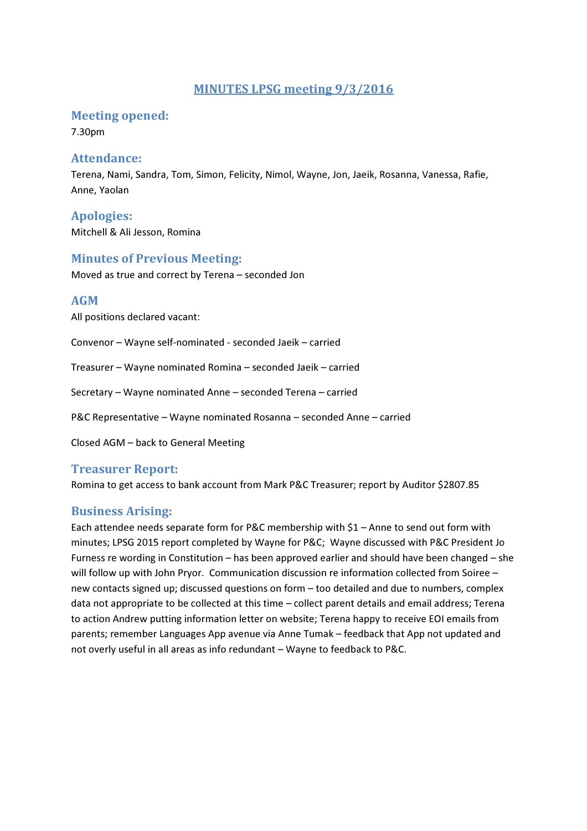# MINUTES LPSG meeting 9/3/2016

## Meeting opened:

7.30pm

### Attendance:

Terena, Nami, Sandra, Tom, Simon, Felicity, Nimol, Wayne, Jon, Jaeik, Rosanna, Vanessa, Rafie, Anne, Yaolan

Apologies: Mitchell & Ali Jesson, Romina

## Minutes of Previous Meeting:

Moved as true and correct by Terena – seconded Jon

## AGM

All positions declared vacant:

Convenor – Wayne self-nominated - seconded Jaeik – carried

Treasurer – Wayne nominated Romina – seconded Jaeik – carried

Secretary – Wayne nominated Anne – seconded Terena – carried

P&C Representative – Wayne nominated Rosanna – seconded Anne – carried

Closed AGM – back to General Meeting

#### Treasurer Report:

Romina to get access to bank account from Mark P&C Treasurer; report by Auditor \$2807.85

#### Business Arising:

Each attendee needs separate form for P&C membership with \$1 – Anne to send out form with minutes; LPSG 2015 report completed by Wayne for P&C; Wayne discussed with P&C President Jo Furness re wording in Constitution – has been approved earlier and should have been changed – she will follow up with John Pryor. Communication discussion re information collected from Soiree – new contacts signed up; discussed questions on form – too detailed and due to numbers, complex data not appropriate to be collected at this time – collect parent details and email address; Terena to action Andrew putting information letter on website; Terena happy to receive EOI emails from parents; remember Languages App avenue via Anne Tumak – feedback that App not updated and not overly useful in all areas as info redundant – Wayne to feedback to P&C.